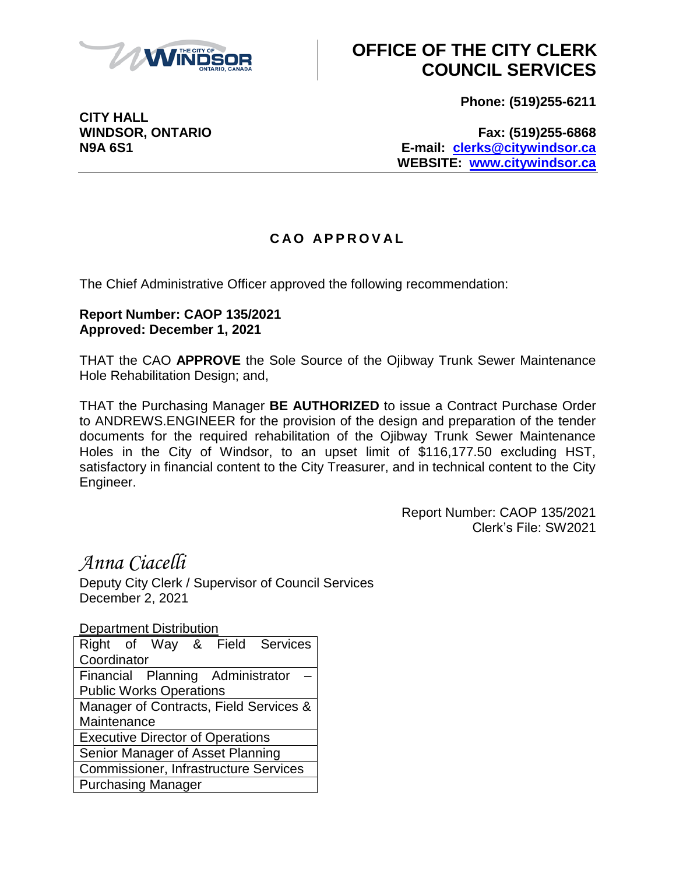

## **OFFICE OF THE CITY CLERK COUNCIL SERVICES**

**Phone: (519)255-6211**

**CITY HALL**

**WINDSOR, ONTARIO Fax: (519)255-6868 N9A 6S1 E-mail: [clerks@citywindsor.ca](mailto:clerks@citywindsor.ca) WEBSITE: [www.citywindsor.ca](http://www.citywindsor.ca/)**

## **C A O A P P R O V A L**

The Chief Administrative Officer approved the following recommendation:

## **Report Number: CAOP 135/2021 Approved: December 1, 2021**

THAT the CAO **APPROVE** the Sole Source of the Ojibway Trunk Sewer Maintenance Hole Rehabilitation Design; and,

THAT the Purchasing Manager **BE AUTHORIZED** to issue a Contract Purchase Order to ANDREWS.ENGINEER for the provision of the design and preparation of the tender documents for the required rehabilitation of the Ojibway Trunk Sewer Maintenance Holes in the City of Windsor, to an upset limit of \$116,177.50 excluding HST, satisfactory in financial content to the City Treasurer, and in technical content to the City Engineer.

> Report Number: CAOP 135/2021 Clerk's File: SW2021

*Anna Ciacelli*

Deputy City Clerk / Supervisor of Council Services December 2, 2021

Department Distribution

|                                              |  |  |  | Right of Way & Field Services |  |  |
|----------------------------------------------|--|--|--|-------------------------------|--|--|
| Coordinator                                  |  |  |  |                               |  |  |
| Financial Planning Administrator             |  |  |  |                               |  |  |
| <b>Public Works Operations</b>               |  |  |  |                               |  |  |
| Manager of Contracts, Field Services &       |  |  |  |                               |  |  |
| Maintenance                                  |  |  |  |                               |  |  |
| <b>Executive Director of Operations</b>      |  |  |  |                               |  |  |
| Senior Manager of Asset Planning             |  |  |  |                               |  |  |
| <b>Commissioner, Infrastructure Services</b> |  |  |  |                               |  |  |
| <b>Purchasing Manager</b>                    |  |  |  |                               |  |  |